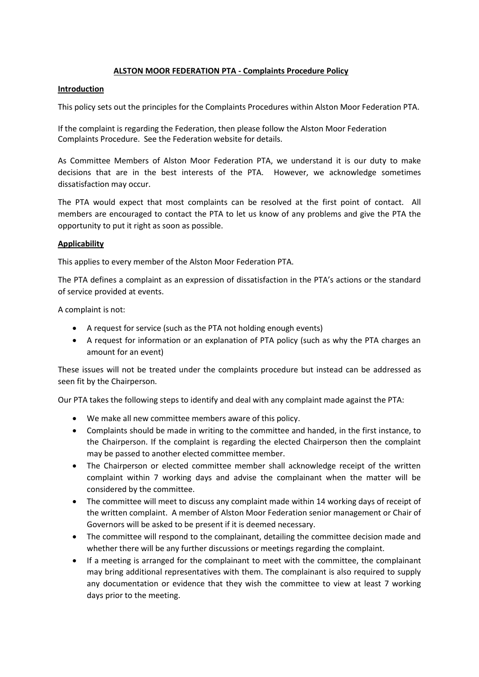## **ALSTON MOOR FEDERATION PTA - Complaints Procedure Policy**

## **Introduction**

This policy sets out the principles for the Complaints Procedures within Alston Moor Federation PTA.

If the complaint is regarding the Federation, then please follow the Alston Moor Federation Complaints Procedure. See the Federation website for details.

As Committee Members of Alston Moor Federation PTA, we understand it is our duty to make decisions that are in the best interests of the PTA. However, we acknowledge sometimes dissatisfaction may occur.

The PTA would expect that most complaints can be resolved at the first point of contact. All members are encouraged to contact the PTA to let us know of any problems and give the PTA the opportunity to put it right as soon as possible.

## **Applicability**

This applies to every member of the Alston Moor Federation PTA.

The PTA defines a complaint as an expression of dissatisfaction in the PTA's actions or the standard of service provided at events.

A complaint is not:

- A request for service (such as the PTA not holding enough events)
- A request for information or an explanation of PTA policy (such as why the PTA charges an amount for an event)

These issues will not be treated under the complaints procedure but instead can be addressed as seen fit by the Chairperson.

Our PTA takes the following steps to identify and deal with any complaint made against the PTA:

- We make all new committee members aware of this policy.
- Complaints should be made in writing to the committee and handed, in the first instance, to the Chairperson. If the complaint is regarding the elected Chairperson then the complaint may be passed to another elected committee member.
- The Chairperson or elected committee member shall acknowledge receipt of the written complaint within 7 working days and advise the complainant when the matter will be considered by the committee.
- The committee will meet to discuss any complaint made within 14 working days of receipt of the written complaint. A member of Alston Moor Federation senior management or Chair of Governors will be asked to be present if it is deemed necessary.
- The committee will respond to the complainant, detailing the committee decision made and whether there will be any further discussions or meetings regarding the complaint.
- If a meeting is arranged for the complainant to meet with the committee, the complainant may bring additional representatives with them. The complainant is also required to supply any documentation or evidence that they wish the committee to view at least 7 working days prior to the meeting.